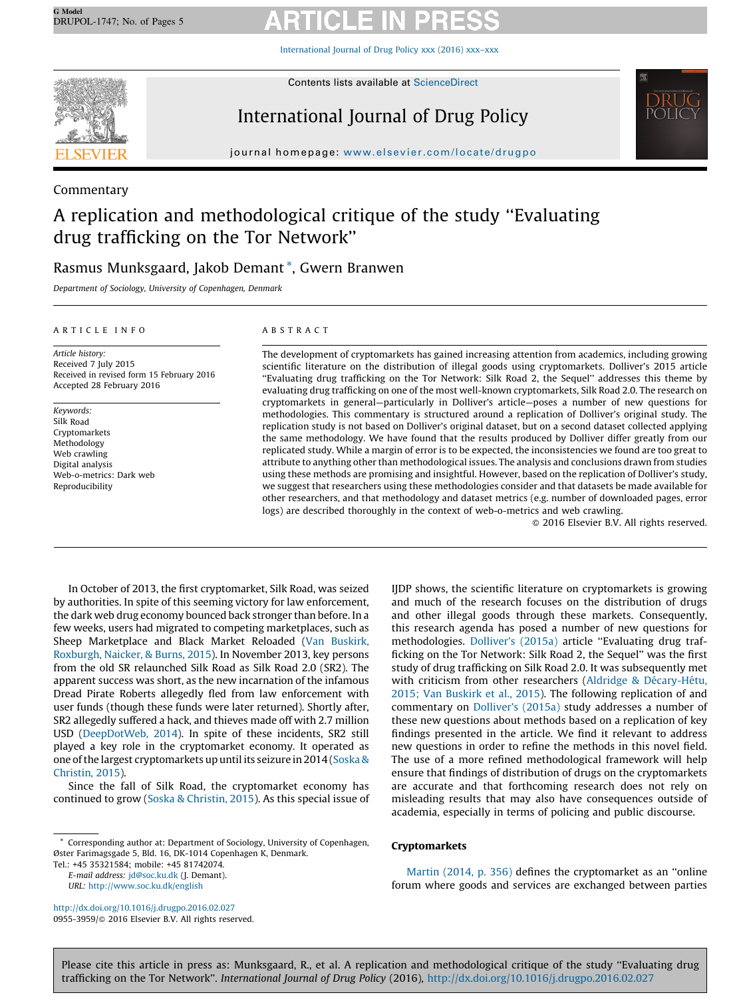[International](http://dx.doi.org/10.1016/j.drugpo.2016.02.027) Journal of Drug Policy xxx (2016) xxx–xxx



Contents lists available at [ScienceDirect](http://www.sciencedirect.com/science/journal/09553959)

# International Journal of Drug Policy



journal homepage: www.elsevier.com/locate/drugpo

Commentary

# A replication and methodological critique of the study ''Evaluating drug trafficking on the Tor Network''

# Rasmus Munksgaard, Jakob Demant \*, Gwern Branwen

Department of Sociology, University of Copenhagen, Denmark

#### A R T I C L E I N F O

Article history: Received 7 July 2015 Received in revised form 15 February 2016 Accepted 28 February 2016

Keywords: Silk Road Cryptomarkets Methodology Web crawling Digital analysis Web-o-metrics: Dark web Reproducibility

## A B S T R A C T

The development of cryptomarkets has gained increasing attention from academics, including growing scientific literature on the distribution of illegal goods using cryptomarkets. Dolliver's 2015 article ''Evaluating drug trafficking on the Tor Network: Silk Road 2, the Sequel'' addresses this theme by evaluating drug trafficking on one of the most well-known cryptomarkets, Silk Road 2.0. The research on cryptomarkets in general—particularly in Dolliver's article—poses a number of new questions for methodologies. This commentary is structured around a replication of Dolliver's original study. The replication study is not based on Dolliver's original dataset, but on a second dataset collected applying the same methodology. We have found that the results produced by Dolliver differ greatly from our replicated study. While a margin of error is to be expected, the inconsistencies we found are too great to attribute to anything other than methodological issues. The analysis and conclusions drawn from studies using these methods are promising and insightful. However, based on the replication of Dolliver's study, we suggest that researchers using these methodologies consider and that datasets be made available for other researchers, and that methodology and dataset metrics (e.g. number of downloaded pages, error logs) are described thoroughly in the context of web-o-metrics and web crawling.

- 2016 Elsevier B.V. All rights reserved.

In October of 2013, the first cryptomarket, Silk Road, was seized by authorities. In spite of this seeming victory for law enforcement, the dark web drug economy bounced back stronger than before. In a few weeks, users had migrated to competing marketplaces, such as Sheep Marketplace and Black Market Reloaded (Van [Buskirk,](#page-4-0) [Roxburgh,](#page-4-0) Naicker, & Burns, 2015). In November 2013, key persons from the old SR relaunched Silk Road as Silk Road 2.0 (SR2). The apparent success was short, as the new incarnation of the infamous Dread Pirate Roberts allegedly fled from law enforcement with user funds (though these funds were later returned). Shortly after, SR2 allegedly suffered a hack, and thieves made off with 2.7 million USD ([DeepDotWeb,](#page-4-0) 2014). In spite of these incidents, SR2 still played a key role in the cryptomarket economy. It operated as one ofthe largest cryptomarkets up until its seizure in 2014 [\(Soska&](#page-4-0) [Christin,](#page-4-0) 2015).

Since the fall of Silk Road, the cryptomarket economy has continued to grow (Soska & [Christin,](#page-4-0) 2015). As this special issue of

Tel.: +45 35321584; mobile: +45 81742074. E-mail address: [jd@soc.ku.dk](mailto:jd@soc.ku.dk) (J. Demant).

URL: <http://www.soc.ku.dk/english>

<http://dx.doi.org/10.1016/j.drugpo.2016.02.027> 0955-3959/© 2016 Elsevier B.V. All rights reserved. IJDP shows, the scientific literature on cryptomarkets is growing and much of the research focuses on the distribution of drugs and other illegal goods through these markets. Consequently, this research agenda has posed a number of new questions for methodologies. [Dolliver's](#page-4-0) (2015a) article ''Evaluating drug trafficking on the Tor Network: Silk Road 2, the Sequel'' was the first study of drug trafficking on Silk Road 2.0. It was subsequently met with criticism from other researchers (Aldridge & Décary-Hétu, 2015; Van [Buskirk](#page-4-0) et al., 2015). The following replication of and commentary on [Dolliver's](#page-4-0) (2015a) study addresses a number of these new questions about methods based on a replication of key findings presented in the article. We find it relevant to address new questions in order to refine the methods in this novel field. The use of a more refined methodological framework will help ensure that findings of distribution of drugs on the cryptomarkets are accurate and that forthcoming research does not rely on misleading results that may also have consequences outside of academia, especially in terms of policing and public discourse.

## Cryptomarkets

[Martin](#page-4-0) (2014, p. 356) defines the cryptomarket as an ''online forum where goods and services are exchanged between parties

Corresponding author at: Department of Sociology, University of Copenhagen, Øster Farimagsgade 5, Bld. 16, DK-1014 Copenhagen K, Denmark.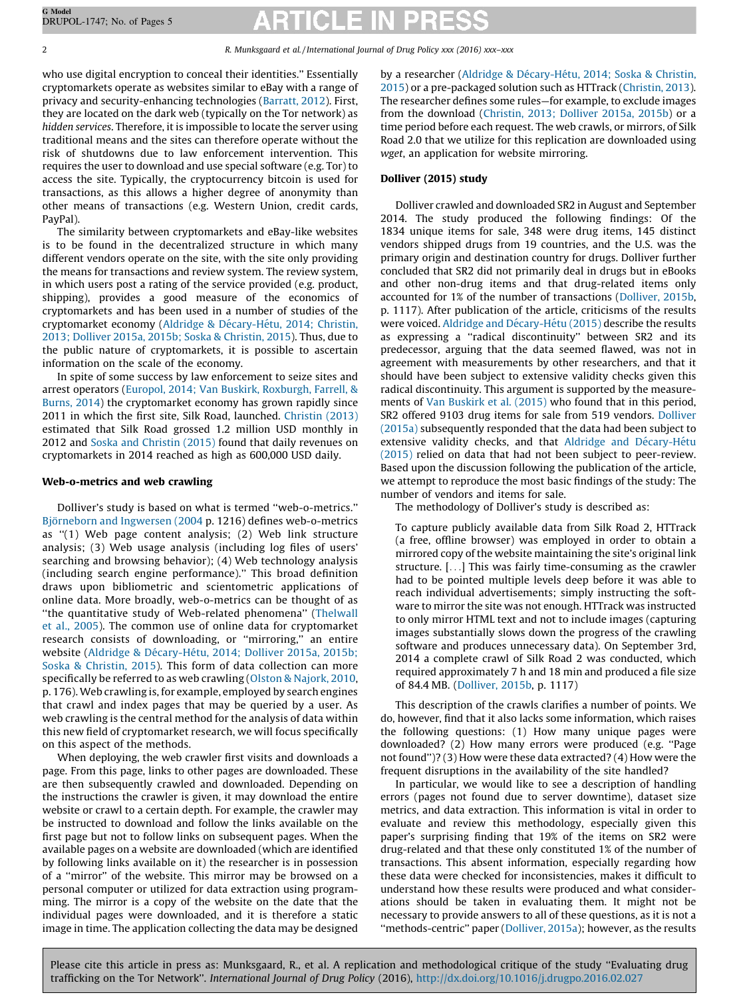2 **R. Munksgaard et al. / International Journal of Drug Policy xxx (2016) xxx–xxx** 

who use digital encryption to conceal their identities.'' Essentially cryptomarkets operate as websites similar to eBay with a range of privacy and security-enhancing technologies [\(Barratt,](#page-4-0) 2012). First, they are located on the dark web (typically on the Tor network) as hidden services. Therefore, it is impossible to locate the server using traditional means and the sites can therefore operate without the risk of shutdowns due to law enforcement intervention. This requires the user to download and use special software (e.g. Tor) to access the site. Typically, the cryptocurrency bitcoin is used for transactions, as this allows a higher degree of anonymity than other means of transactions (e.g. Western Union, credit cards, PayPal).

The similarity between cryptomarkets and eBay-like websites is to be found in the decentralized structure in which many different vendors operate on the site, with the site only providing the means for transactions and review system. The review system, in which users post a rating of the service provided (e.g. product, shipping), provides a good measure of the economics of cryptomarkets and has been used in a number of studies of the cryptomarket economy (Aldridge & Décary-Hétu, 2014; Christin, 2013; Dolliver 2015a, 2015b; Soska & [Christin,](#page-4-0) 2015). Thus, due to the public nature of cryptomarkets, it is possible to ascertain information on the scale of the economy.

In spite of some success by law enforcement to seize sites and arrest operators (Europol, 2014; Van Buskirk, [Roxburgh,](#page-4-0) Farrell, & [Burns,](#page-4-0) 2014) the cryptomarket economy has grown rapidly since 2011 in which the first site, Silk Road, launched. [Christin](#page-4-0) (2013) estimated that Silk Road grossed 1.2 million USD monthly in 2012 and Soska and [Christin](#page-4-0) (2015) found that daily revenues on cryptomarkets in 2014 reached as high as 600,000 USD daily.

### Web-o-metrics and web crawling

Dolliver's study is based on what is termed ''web-o-metrics.'' Björneborn and [Ingwersen](#page-4-0) (2004 p. 1216) defines web-o-metrics as ''(1) Web page content analysis; (2) Web link structure analysis; (3) Web usage analysis (including log files of users' searching and browsing behavior); (4) Web technology analysis (including search engine performance).'' This broad definition draws upon bibliometric and scientometric applications of online data. More broadly, web-o-metrics can be thought of as ''the quantitative study of Web-related phenomena'' [\(Thelwall](#page-4-0) et al., [2005](#page-4-0)). The common use of online data for cryptomarket research consists of downloading, or ''mirroring,'' an entire website (Aldridge & Décary-Hétu, 2014; Dolliver 2015a, 2015b; Soska & [Christin,](#page-4-0) 2015). This form of data collection can more specifically be referred to as web crawling (Olston & [Najork,](#page-4-0) 2010, p. 176). Web crawling is, for example, employed by search engines that crawl and index pages that may be queried by a user. As web crawling is the central method for the analysis of data within this new field of cryptomarket research, we will focus specifically on this aspect of the methods.

When deploying, the web crawler first visits and downloads a page. From this page, links to other pages are downloaded. These are then subsequently crawled and downloaded. Depending on the instructions the crawler is given, it may download the entire website or crawl to a certain depth. For example, the crawler may be instructed to download and follow the links available on the first page but not to follow links on subsequent pages. When the available pages on a website are downloaded (which are identified by following links available on it) the researcher is in possession of a ''mirror'' of the website. This mirror may be browsed on a personal computer or utilized for data extraction using programming. The mirror is a copy of the website on the date that the individual pages were downloaded, and it is therefore a static image in time. The application collecting the data may be designed by a researcher (Aldridge & Décary-Hétu, 2014; Soska & Christin, [2015\)](#page-4-0) or a pre-packaged solution such as HTTrack ([Christin,](#page-4-0) 2013). The researcher defines some rules—for example, to exclude images from the download ([Christin,](#page-4-0) 2013; Dolliver 2015a, 2015b) or a time period before each request. The web crawls, or mirrors, of Silk Road 2.0 that we utilize for this replication are downloaded using wget, an application for website mirroring.

### Dolliver (2015) study

Dolliver crawled and downloaded SR2 in August and September 2014. The study produced the following findings: Of the 1834 unique items for sale, 348 were drug items, 145 distinct vendors shipped drugs from 19 countries, and the U.S. was the primary origin and destination country for drugs. Dolliver further concluded that SR2 did not primarily deal in drugs but in eBooks and other non-drug items and that drug-related items only accounted for 1% of the number of transactions ([Dolliver,](#page-4-0) 2015b, p. 1117). After publication of the article, criticisms of the results were voiced. Aldridge and Décary-Hétu (2015) describe the results as expressing a ''radical discontinuity'' between SR2 and its predecessor, arguing that the data seemed flawed, was not in agreement with measurements by other researchers, and that it should have been subject to extensive validity checks given this radical discontinuity. This argument is supported by the measurements of Van [Buskirk](#page-4-0) et al. (2015) who found that in this period, SR2 offered 9103 drug items for sale from 519 vendors. [Dolliver](#page-4-0) [\(2015a\)](#page-4-0) subsequently responded that the data had been subject to extensive validity checks, and that Aldridge and Décary-Hétu [\(2015\)](#page-4-0) relied on data that had not been subject to peer-review. Based upon the discussion following the publication of the article, we attempt to reproduce the most basic findings of the study: The number of vendors and items for sale.

The methodology of Dolliver's study is described as:

To capture publicly available data from Silk Road 2, HTTrack (a free, offline browser) was employed in order to obtain a mirrored copy of the website maintaining the site's original link structure. [. . .] This was fairly time-consuming as the crawler had to be pointed multiple levels deep before it was able to reach individual advertisements; simply instructing the software to mirror the site was not enough. HTTrack was instructed to only mirror HTML text and not to include images (capturing images substantially slows down the progress of the crawling software and produces unnecessary data). On September 3rd, 2014 a complete crawl of Silk Road 2 was conducted, which required approximately 7 h and 18 min and produced a file size of 84.4 MB. ([Dolliver,](#page-4-0) 2015b, p. 1117)

This description of the crawls clarifies a number of points. We do, however, find that it also lacks some information, which raises the following questions: (1) How many unique pages were downloaded? (2) How many errors were produced (e.g. ''Page not found'')? (3) How were these data extracted? (4) How were the frequent disruptions in the availability of the site handled?

In particular, we would like to see a description of handling errors (pages not found due to server downtime), dataset size metrics, and data extraction. This information is vital in order to evaluate and review this methodology, especially given this paper's surprising finding that 19% of the items on SR2 were drug-related and that these only constituted 1% of the number of transactions. This absent information, especially regarding how these data were checked for inconsistencies, makes it difficult to understand how these results were produced and what considerations should be taken in evaluating them. It might not be necessary to provide answers to all of these questions, as it is not a "methods-centric" paper ([Dolliver,](#page-4-0) 2015a); however, as the results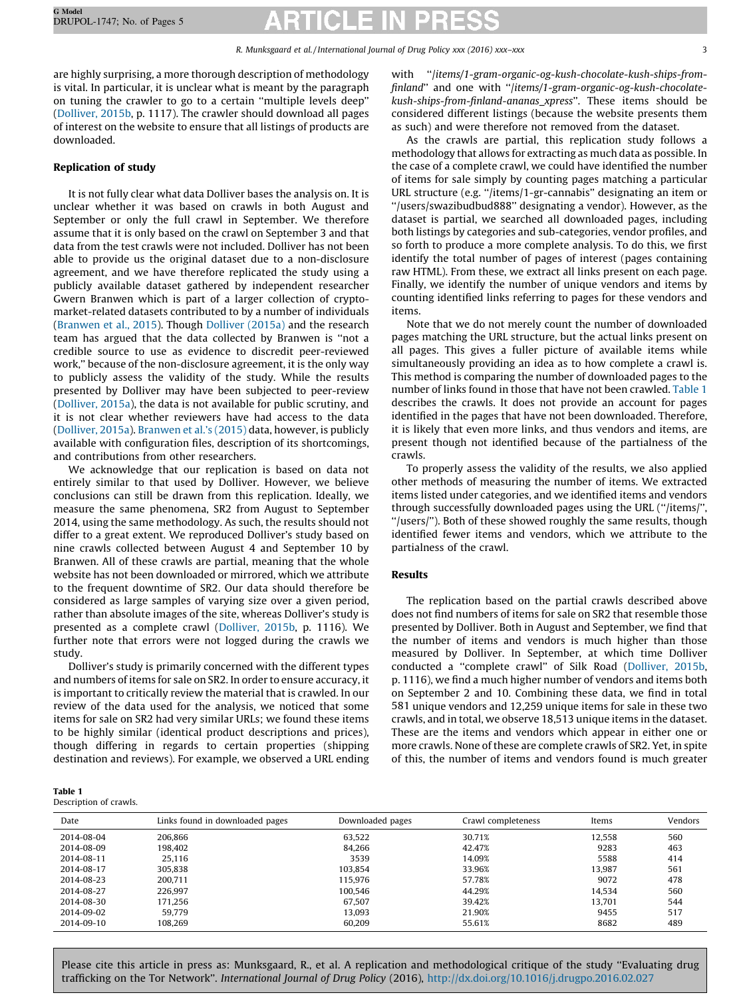<span id="page-2-0"></span>are highly surprising, a more thorough description of methodology is vital. In particular, it is unclear what is meant by the paragraph on tuning the crawler to go to a certain ''multiple levels deep'' ([Dolliver,](#page-4-0) 2015b, p. 1117). The crawler should download all pages of interest on the website to ensure that all listings of products are downloaded.

# Replication of study

It is not fully clear what data Dolliver bases the analysis on. It is unclear whether it was based on crawls in both August and September or only the full crawl in September. We therefore assume that it is only based on the crawl on September 3 and that data from the test crawls were not included. Dolliver has not been able to provide us the original dataset due to a non-disclosure agreement, and we have therefore replicated the study using a publicly available dataset gathered by independent researcher Gwern Branwen which is part of a larger collection of cryptomarket-related datasets contributed to by a number of individuals ([Branwen](#page-4-0) et al., 2015). Though [Dolliver](#page-4-0) (2015a) and the research team has argued that the data collected by Branwen is ''not a credible source to use as evidence to discredit peer-reviewed work,'' because of the non-disclosure agreement, it is the only way to publicly assess the validity of the study. While the results presented by Dolliver may have been subjected to peer-review ([Dolliver,](#page-4-0) 2015a), the data is not available for public scrutiny, and it is not clear whether reviewers have had access to the data ([Dolliver,](#page-4-0) 2015a). [Branwen](#page-4-0) et al.'s (2015) data, however, is publicly available with configuration files, description of its shortcomings, and contributions from other researchers.

We acknowledge that our replication is based on data not entirely similar to that used by Dolliver. However, we believe conclusions can still be drawn from this replication. Ideally, we measure the same phenomena, SR2 from August to September 2014, using the same methodology. As such, the results should not differ to a great extent. We reproduced Dolliver's study based on nine crawls collected between August 4 and September 10 by Branwen. All of these crawls are partial, meaning that the whole website has not been downloaded or mirrored, which we attribute to the frequent downtime of SR2. Our data should therefore be considered as large samples of varying size over a given period, rather than absolute images of the site, whereas Dolliver's study is presented as a complete crawl [\(Dolliver,](#page-4-0) 2015b, p. 1116). We further note that errors were not logged during the crawls we study.

Dolliver's study is primarily concerned with the different types and numbers of items for sale on SR2. In order to ensure accuracy, it is important to critically review the material that is crawled. In our review of the data used for the analysis, we noticed that some items for sale on SR2 had very similar URLs; we found these items to be highly similar (identical product descriptions and prices), though differing in regards to certain properties (shipping destination and reviews). For example, we observed a URL ending

| <b>Table 1</b>         |  |
|------------------------|--|
| Description of crawls. |  |

with ''/items/1-gram-organic-og-kush-chocolate-kush-ships-fromfinland'' and one with ''/items/1-gram-organic-og-kush-chocolatekush-ships-from-finland-ananas\_xpress''. These items should be considered different listings (because the website presents them as such) and were therefore not removed from the dataset.

As the crawls are partial, this replication study follows a methodology that allows for extracting as much data as possible. In the case of a complete crawl, we could have identified the number of items for sale simply by counting pages matching a particular URL structure (e.g. ''/items/1-gr-cannabis'' designating an item or ''/users/swazibudbud888'' designating a vendor). However, as the dataset is partial, we searched all downloaded pages, including both listings by categories and sub-categories, vendor profiles, and so forth to produce a more complete analysis. To do this, we first identify the total number of pages of interest (pages containing raw HTML). From these, we extract all links present on each page. Finally, we identify the number of unique vendors and items by counting identified links referring to pages for these vendors and items.

Note that we do not merely count the number of downloaded pages matching the URL structure, but the actual links present on all pages. This gives a fuller picture of available items while simultaneously providing an idea as to how complete a crawl is. This method is comparing the number of downloaded pages to the number of links found in those that have not been crawled. Table 1 describes the crawls. It does not provide an account for pages identified in the pages that have not been downloaded. Therefore, it is likely that even more links, and thus vendors and items, are present though not identified because of the partialness of the crawls.

To properly assess the validity of the results, we also applied other methods of measuring the number of items. We extracted items listed under categories, and we identified items and vendors through successfully downloaded pages using the URL (''/items/'', ''/users/''). Both of these showed roughly the same results, though identified fewer items and vendors, which we attribute to the partialness of the crawl.

#### Results

The replication based on the partial crawls described above does not find numbers of items for sale on SR2 that resemble those presented by Dolliver. Both in August and September, we find that the number of items and vendors is much higher than those measured by Dolliver. In September, at which time Dolliver conducted a ''complete crawl'' of Silk Road [\(Dolliver,](#page-4-0) 2015b, p. 1116), we find a much higher number of vendors and items both on September 2 and 10. Combining these data, we find in total 581 unique vendors and 12,259 unique items for sale in these two crawls, and in total, we observe 18,513 unique items in the dataset. These are the items and vendors which appear in either one or more crawls. None of these are complete crawls of SR2. Yet, in spite of this, the number of items and vendors found is much greater

| Date       | Links found in downloaded pages | Downloaded pages | Crawl completeness | Items  | Vendors |
|------------|---------------------------------|------------------|--------------------|--------|---------|
| 2014-08-04 | 206.866                         | 63.522           | 30.71%             | 12.558 | 560     |
| 2014-08-09 | 198.402                         | 84.266           | 42.47%             | 9283   | 463     |
| 2014-08-11 | 25.116                          | 3539             | 14.09%             | 5588   | 414     |
| 2014-08-17 | 305.838                         | 103.854          | 33.96%             | 13.987 | 561     |
| 2014-08-23 | 200.711                         | 115.976          | 57.78%             | 9072   | 478     |
| 2014-08-27 | 226.997                         | 100.546          | 44.29%             | 14.534 | 560     |
| 2014-08-30 | 171.256                         | 67.507           | 39.42%             | 13.701 | 544     |
| 2014-09-02 | 59.779                          | 13.093           | 21.90%             | 9455   | 517     |
| 2014-09-10 | 108.269                         | 60.209           | 55.61%             | 8682   | 489     |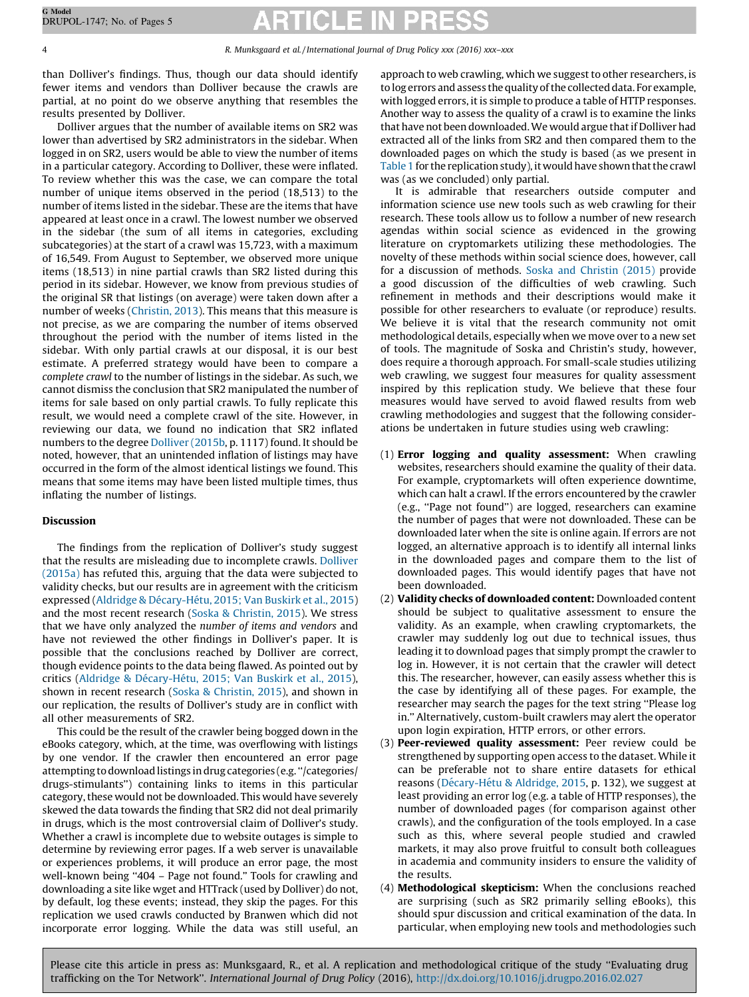#### 4 R. Munksgaard et al. / International Journal of Drug Policy xxx (2016) xxx–xxx

than Dolliver's findings. Thus, though our data should identify fewer items and vendors than Dolliver because the crawls are partial, at no point do we observe anything that resembles the results presented by Dolliver.

Dolliver argues that the number of available items on SR2 was lower than advertised by SR2 administrators in the sidebar. When logged in on SR2, users would be able to view the number of items in a particular category. According to Dolliver, these were inflated. To review whether this was the case, we can compare the total number of unique items observed in the period (18,513) to the number of items listed in the sidebar. These are the items that have appeared at least once in a crawl. The lowest number we observed in the sidebar (the sum of all items in categories, excluding subcategories) at the start of a crawl was 15,723, with a maximum of 16,549. From August to September, we observed more unique items (18,513) in nine partial crawls than SR2 listed during this period in its sidebar. However, we know from previous studies of the original SR that listings (on average) were taken down after a number of weeks ([Christin,](#page-4-0) 2013). This means that this measure is not precise, as we are comparing the number of items observed throughout the period with the number of items listed in the sidebar. With only partial crawls at our disposal, it is our best estimate. A preferred strategy would have been to compare a complete crawl to the number of listings in the sidebar. As such, we cannot dismiss the conclusion that SR2 manipulated the number of items for sale based on only partial crawls. To fully replicate this result, we would need a complete crawl of the site. However, in reviewing our data, we found no indication that SR2 inflated numbers to the degree [Dolliver](#page-4-0) (2015b, p. 1117) found. It should be noted, however, that an unintended inflation of listings may have occurred in the form of the almost identical listings we found. This means that some items may have been listed multiple times, thus inflating the number of listings.

#### Discussion

The findings from the replication of Dolliver's study suggest that the results are misleading due to incomplete crawls. [Dolliver](#page-4-0) [\(2015a\)](#page-4-0) has refuted this, arguing that the data were subjected to validity checks, but our results are in agreement with the criticism expressed (Aldridge & Décary-Hétu, 2015; Van Buskirk et al., 2015) and the most recent research (Soska & [Christin,](#page-4-0) 2015). We stress that we have only analyzed the number of items and vendors and have not reviewed the other findings in Dolliver's paper. It is possible that the conclusions reached by Dolliver are correct, though evidence points to the data being flawed. As pointed out by critics (Aldridge & Décary-Hétu, 2015; Van Buskirk et al., 2015), shown in recent research (Soska & [Christin,](#page-4-0) 2015), and shown in our replication, the results of Dolliver's study are in conflict with all other measurements of SR2.

This could be the result of the crawler being bogged down in the eBooks category, which, at the time, was overflowing with listings by one vendor. If the crawler then encountered an error page attempting to download listings in drug categories (e.g. "/categories/ drugs-stimulants'') containing links to items in this particular category, these would not be downloaded. This would have severely skewed the data towards the finding that SR2 did not deal primarily in drugs, which is the most controversial claim of Dolliver's study. Whether a crawl is incomplete due to website outages is simple to determine by reviewing error pages. If a web server is unavailable or experiences problems, it will produce an error page, the most well-known being "404 - Page not found." Tools for crawling and downloading a site like wget and HTTrack (used by Dolliver) do not, by default, log these events; instead, they skip the pages. For this replication we used crawls conducted by Branwen which did not incorporate error logging. While the data was still useful, an

approach to web crawling, which we suggest to other researchers, is to log errors and assess the quality of the collected data. For example, with logged errors, it is simple to produce a table of HTTP responses. Another way to assess the quality of a crawl is to examine the links that have not been downloaded. We would argue that if Dolliver had extracted all of the links from SR2 and then compared them to the downloaded pages on which the study is based (as we present in [Table](#page-2-0) 1 for the replication study), it would have shown that the crawl was (as we concluded) only partial.

It is admirable that researchers outside computer and information science use new tools such as web crawling for their research. These tools allow us to follow a number of new research agendas within social science as evidenced in the growing literature on cryptomarkets utilizing these methodologies. The novelty of these methods within social science does, however, call for a discussion of methods. Soska and [Christin](#page-4-0) (2015) provide a good discussion of the difficulties of web crawling. Such refinement in methods and their descriptions would make it possible for other researchers to evaluate (or reproduce) results. We believe it is vital that the research community not omit methodological details, especially when we move over to a new set of tools. The magnitude of Soska and Christin's study, however, does require a thorough approach. For small-scale studies utilizing web crawling, we suggest four measures for quality assessment inspired by this replication study. We believe that these four measures would have served to avoid flawed results from web crawling methodologies and suggest that the following considerations be undertaken in future studies using web crawling:

- (1) Error logging and quality assessment: When crawling websites, researchers should examine the quality of their data. For example, cryptomarkets will often experience downtime, which can halt a crawl. If the errors encountered by the crawler (e.g., ''Page not found'') are logged, researchers can examine the number of pages that were not downloaded. These can be downloaded later when the site is online again. If errors are not logged, an alternative approach is to identify all internal links in the downloaded pages and compare them to the list of downloaded pages. This would identify pages that have not been downloaded.
- (2) Validity checks of downloaded content: Downloaded content should be subject to qualitative assessment to ensure the validity. As an example, when crawling cryptomarkets, the crawler may suddenly log out due to technical issues, thus leading it to download pages that simply prompt the crawler to log in. However, it is not certain that the crawler will detect this. The researcher, however, can easily assess whether this is the case by identifying all of these pages. For example, the researcher may search the pages for the text string ''Please log in.'' Alternatively, custom-built crawlers may alert the operator upon login expiration, HTTP errors, or other errors.
- (3) Peer-reviewed quality assessment: Peer review could be strengthened by supporting open access to the dataset. While it can be preferable not to share entire datasets for ethical reasons (Décary-Hétu & Aldridge, 2015, p. 132), we suggest at least providing an error log (e.g. a table of HTTP responses), the number of downloaded pages (for comparison against other crawls), and the configuration of the tools employed. In a case such as this, where several people studied and crawled markets, it may also prove fruitful to consult both colleagues in academia and community insiders to ensure the validity of the results.
- (4) Methodological skepticism: When the conclusions reached are surprising (such as SR2 primarily selling eBooks), this should spur discussion and critical examination of the data. In particular, when employing new tools and methodologies such